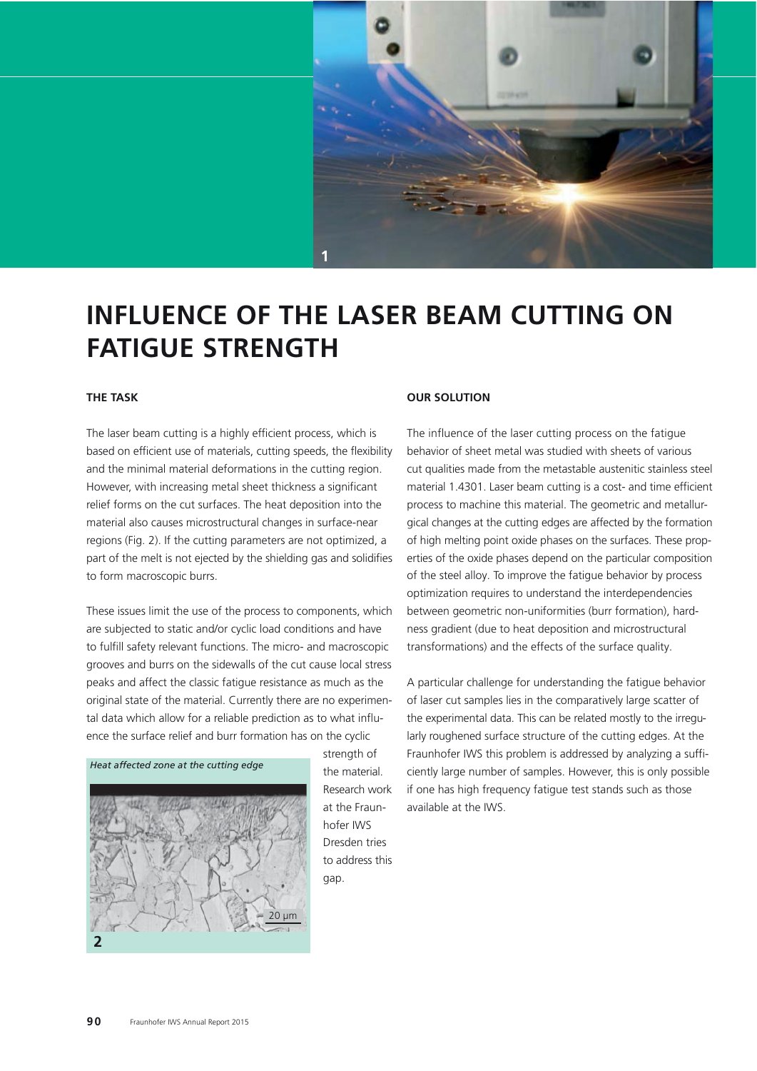

# **INFLUENCE OF THE LASER BEAM CUTTING ON FATIGUE STRENGTH**

### **THE TASK**

The laser beam cutting is a highly efficient process, which is based on efficient use of materials, cutting speeds, the flexibility and the minimal material deformations in the cutting region. However, with increasing metal sheet thickness a significant relief forms on the cut surfaces. The heat deposition into the material also causes microstructural changes in surface-near regions (Fig. 2). If the cutting parameters are not optimized, a part of the melt is not ejected by the shielding gas and solidifies to form macroscopic burrs.

These issues limit the use of the process to components, which are subjected to static and/or cyclic load conditions and have to fulfill safety relevant functions. The micro- and macroscopic grooves and burrs on the sidewalls of the cut cause local stress peaks and affect the classic fatigue resistance as much as the original state of the material. Currently there are no experimental data which allow for a reliable prediction as to what influence the surface relief and burr formation has on the cyclic



strength of the material. Research work at the Fraunhofer IWS Dresden tries to address this gap.

#### **OUR SOLUTION**

The influence of the laser cutting process on the fatigue behavior of sheet metal was studied with sheets of various cut qualities made from the metastable austenitic stainless steel material 1.4301. Laser beam cutting is a cost- and time efficient process to machine this material. The geometric and metallurgical changes at the cutting edges are affected by the formation of high melting point oxide phases on the surfaces. These properties of the oxide phases depend on the particular composition of the steel alloy. To improve the fatigue behavior by process optimization requires to understand the interdependencies between geometric non-uniformities (burr formation), hardness gradient (due to heat deposition and microstructural transformations) and the effects of the surface quality.

A particular challenge for understanding the fatigue behavior of laser cut samples lies in the comparatively large scatter of the experimental data. This can be related mostly to the irregularly roughened surface structure of the cutting edges. At the Fraunhofer IWS this problem is addressed by analyzing a sufficiently large number of samples. However, this is only possible if one has high frequency fatigue test stands such as those available at the IWS.